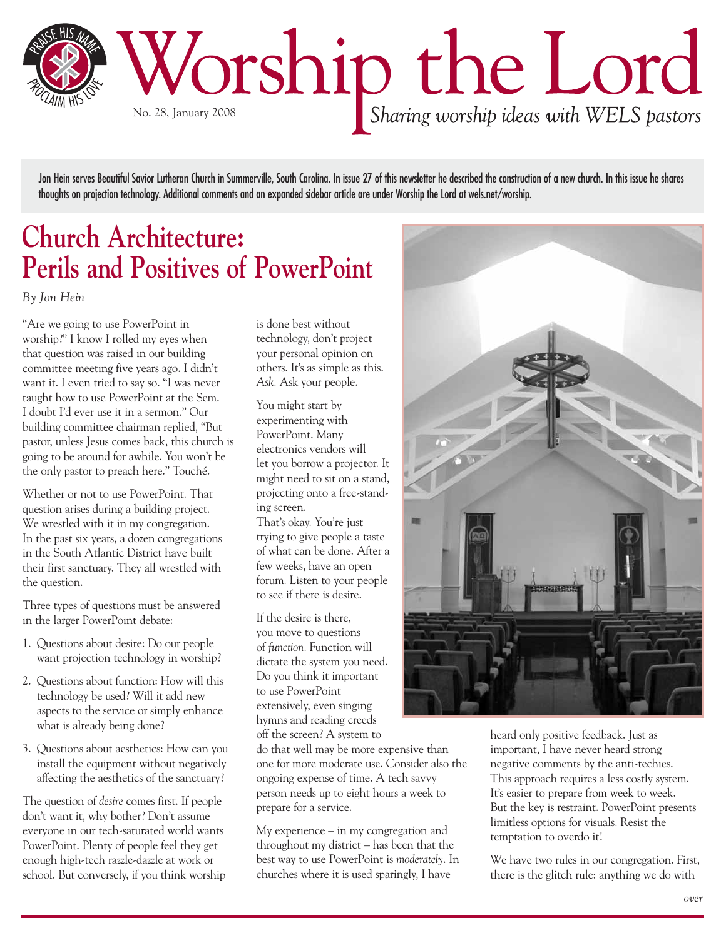

Jon Hein serves Beautiful Savior Lutheran Church in Summerville, South Carolina. In issue 27 of this newsletter he described the construction of a new church. In this issue he shares thoughts on projection technology. Additional comments and an expanded sidebar article are under Worship the Lord at wels.net/worship.

## **Church Architecture: Perils and Positives of PowerPoint**

*By Jon Hein*

"Are we going to use PowerPoint in worship?" I know I rolled my eyes when that question was raised in our building committee meeting five years ago. I didn't want it. I even tried to say so. "I was never taught how to use PowerPoint at the Sem. I doubt I'd ever use it in a sermon." Our building committee chairman replied, "But pastor, unless Jesus comes back, this church is going to be around for awhile. You won't be the only pastor to preach here." Touché.

Whether or not to use PowerPoint. That question arises during a building project. We wrestled with it in my congregation. In the past six years, a dozen congregations in the South Atlantic District have built their first sanctuary. They all wrestled with the question.

Three types of questions must be answered in the larger PowerPoint debate:

- 1. Questions about desire: Do our people want projection technology in worship?
- 2. Questions about function: How will this technology be used? Will it add new aspects to the service or simply enhance what is already being done?
- 3. Questions about aesthetics: How can you install the equipment without negatively affecting the aesthetics of the sanctuary?

The question of *desire* comes first. If people don't want it, why bother? Don't assume everyone in our tech-saturated world wants PowerPoint. Plenty of people feel they get enough high-tech razzle-dazzle at work or school. But conversely, if you think worship

is done best without technology, don't project your personal opinion on others. It's as simple as this. *Ask*. Ask your people.

You might start by experimenting with PowerPoint. Many electronics vendors will let you borrow a projector. It might need to sit on a stand, projecting onto a free-standing screen.

That's okay. You're just trying to give people a taste of what can be done. After a few weeks, have an open forum. Listen to your people to see if there is desire.

If the desire is there, you move to questions of *function*. Function will dictate the system you need. Do you think it important to use PowerPoint extensively, even singing hymns and reading creeds off the screen? A system to

do that well may be more expensive than one for more moderate use. Consider also the ongoing expense of time. A tech savvy person needs up to eight hours a week to prepare for a service.

My experience – in my congregation and throughout my district – has been that the best way to use PowerPoint is *moderately*. In churches where it is used sparingly, I have



heard only positive feedback. Just as important, I have never heard strong negative comments by the anti-techies. This approach requires a less costly system. It's easier to prepare from week to week. But the key is restraint. PowerPoint presents limitless options for visuals. Resist the temptation to overdo it!

We have two rules in our congregation. First, there is the glitch rule: anything we do with